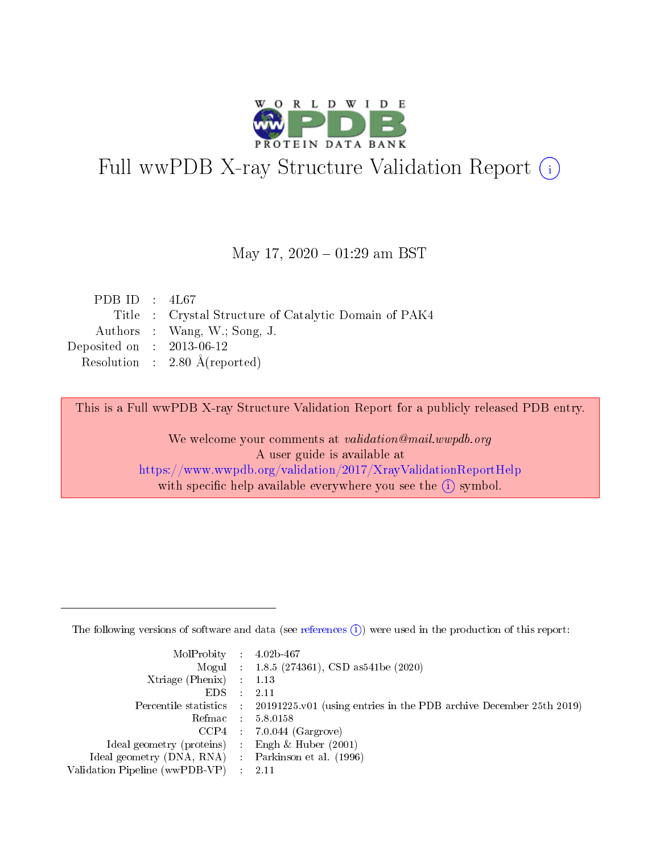

# Full wwPDB X-ray Structure Validation Report (i)

#### May 17,  $2020 - 01:29$  am BST

| PDB ID : $4L67$             |                                                       |
|-----------------------------|-------------------------------------------------------|
|                             | Title : Crystal Structure of Catalytic Domain of PAK4 |
|                             | Authors : Wang, W.; Song, J.                          |
| Deposited on : $2013-06-12$ |                                                       |
|                             | Resolution : $2.80 \text{ Å}$ (reported)              |
|                             |                                                       |

This is a Full wwPDB X-ray Structure Validation Report for a publicly released PDB entry.

We welcome your comments at validation@mail.wwpdb.org A user guide is available at <https://www.wwpdb.org/validation/2017/XrayValidationReportHelp> with specific help available everywhere you see the  $(i)$  symbol.

The following versions of software and data (see [references](https://www.wwpdb.org/validation/2017/XrayValidationReportHelp#references)  $(1)$ ) were used in the production of this report:

| $MolProbability$ : 4.02b-467                        |                                                                                            |
|-----------------------------------------------------|--------------------------------------------------------------------------------------------|
|                                                     | Mogul : 1.8.5 (274361), CSD as 541be (2020)                                                |
| Xtriage (Phenix) $: 1.13$                           |                                                                                            |
| EDS :                                               | -2.11                                                                                      |
|                                                     | Percentile statistics : 20191225.v01 (using entries in the PDB archive December 25th 2019) |
| Refmac 58.0158                                      |                                                                                            |
|                                                     | $CCP4$ 7.0.044 (Gargrove)                                                                  |
| Ideal geometry (proteins) : Engh $\&$ Huber (2001)  |                                                                                            |
| Ideal geometry (DNA, RNA) : Parkinson et al. (1996) |                                                                                            |
| Validation Pipeline (wwPDB-VP) : 2.11               |                                                                                            |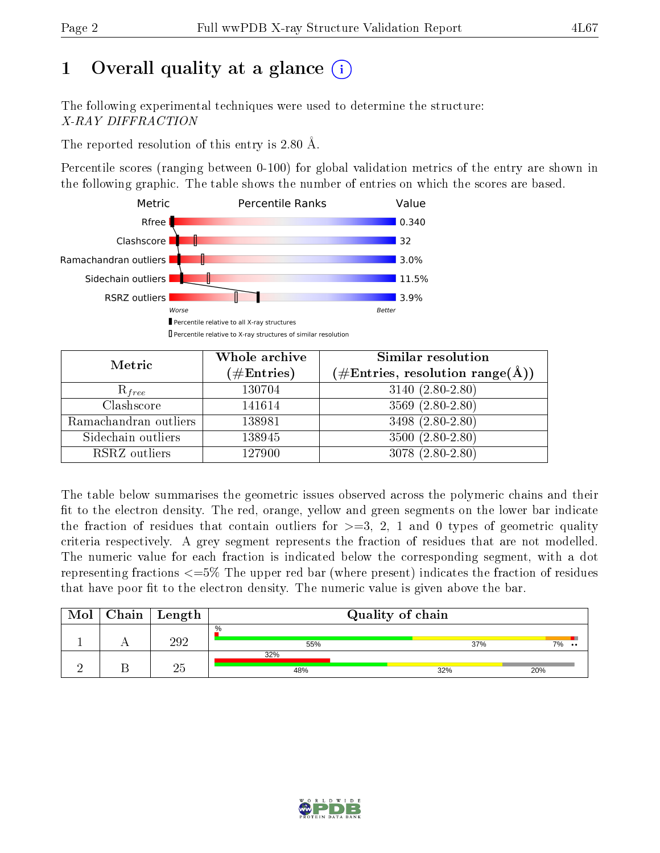# 1 [O](https://www.wwpdb.org/validation/2017/XrayValidationReportHelp#overall_quality)verall quality at a glance  $(i)$

The following experimental techniques were used to determine the structure: X-RAY DIFFRACTION

The reported resolution of this entry is 2.80 Å.

Percentile scores (ranging between 0-100) for global validation metrics of the entry are shown in the following graphic. The table shows the number of entries on which the scores are based.



| Metric                | Whole archive<br>$(\#\mathrm{Entries})$ | Similar resolution<br>$(\#\text{Entries},\,\text{resolution}\,\,\text{range}(\textup{\AA}))$ |
|-----------------------|-----------------------------------------|----------------------------------------------------------------------------------------------|
| $R_{free}$            | 130704                                  | $3140 (2.80 - 2.80)$                                                                         |
| Clashscore            | 141614                                  | $3569(2.80-2.80)$                                                                            |
| Ramachandran outliers | 138981                                  | 3498 (2.80-2.80)                                                                             |
| Sidechain outliers    | 138945                                  | $3500(2.80-2.80)$                                                                            |
| RSRZ outliers         | 127900                                  | $3078(2.80-2.80)$                                                                            |

The table below summarises the geometric issues observed across the polymeric chains and their fit to the electron density. The red, orange, yellow and green segments on the lower bar indicate the fraction of residues that contain outliers for  $>=3, 2, 1$  and 0 types of geometric quality criteria respectively. A grey segment represents the fraction of residues that are not modelled. The numeric value for each fraction is indicated below the corresponding segment, with a dot representing fractions  $\epsilon=5\%$  The upper red bar (where present) indicates the fraction of residues that have poor fit to the electron density. The numeric value is given above the bar.

| Mol | $Chain$ Length | Quality of chain |     |                     |  |  |
|-----|----------------|------------------|-----|---------------------|--|--|
|     | 292            | $\%$<br>55%      | 37% | 7%<br>$\cdot \cdot$ |  |  |
|     |                | 32%<br>48%       | 32% | 20%                 |  |  |

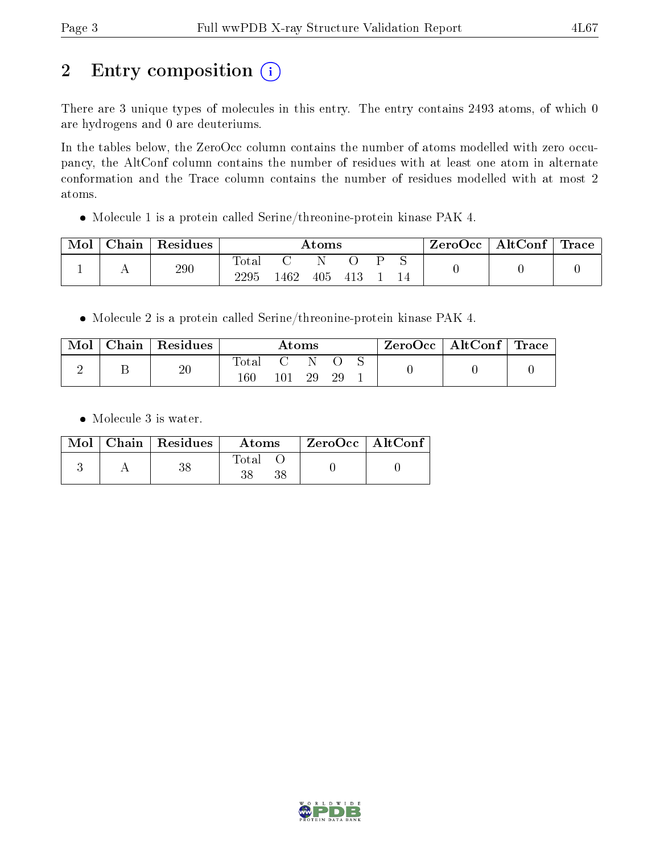# 2 Entry composition (i)

There are 3 unique types of molecules in this entry. The entry contains 2493 atoms, of which 0 are hydrogens and 0 are deuteriums.

In the tables below, the ZeroOcc column contains the number of atoms modelled with zero occupancy, the AltConf column contains the number of residues with at least one atom in alternate conformation and the Trace column contains the number of residues modelled with at most 2 atoms.

Molecule 1 is a protein called Serine/threonine-protein kinase PAK 4.

| Mol | ${\rm Chain}$ | Residues | Atoms             |      |     |        | ZeroOcc | $\mid$ AltConf $\mid$ Trace |  |  |  |
|-----|---------------|----------|-------------------|------|-----|--------|---------|-----------------------------|--|--|--|
|     | . .           | 290      | Total<br>$2295\,$ | 1462 | 405 | $-413$ |         |                             |  |  |  |

Molecule 2 is a protein called Serine/threonine-protein kinase PAK 4.

| Mol | $\mid$ Chain $\mid$ Residues | Atoms            |                   |    |     | $\text{ZeroOcc} \mid \text{AltConf} \mid \text{Trace}$ |  |
|-----|------------------------------|------------------|-------------------|----|-----|--------------------------------------------------------|--|
|     | $20\,$                       | Total<br>$160\,$ | <b>C</b> 2<br>101 | 29 | -29 |                                                        |  |

Molecule 3 is water.

|  | $\text{Mol}$   Chain   Residues | Atoms | $\mid$ ZeroOcc $\mid$ AltConf $\mid$ |  |
|--|---------------------------------|-------|--------------------------------------|--|
|  | 38                              | Total |                                      |  |

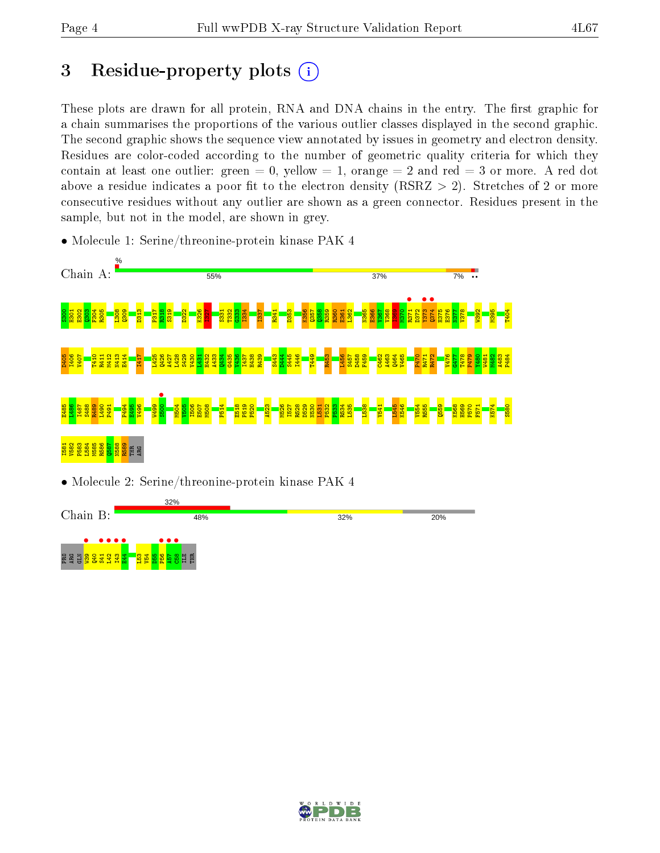# 3 Residue-property plots  $(i)$

These plots are drawn for all protein, RNA and DNA chains in the entry. The first graphic for a chain summarises the proportions of the various outlier classes displayed in the second graphic. The second graphic shows the sequence view annotated by issues in geometry and electron density. Residues are color-coded according to the number of geometric quality criteria for which they contain at least one outlier: green  $= 0$ , yellow  $= 1$ , orange  $= 2$  and red  $= 3$  or more. A red dot above a residue indicates a poor fit to the electron density (RSRZ  $> 2$ ). Stretches of 2 or more consecutive residues without any outlier are shown as a green connector. Residues present in the sample, but not in the model, are shown in grey.

• Molecule 1: Serine/threonine-protein kinase PAK 4



• Molecule 2: Serine/threonine-protein kinase PAK 4



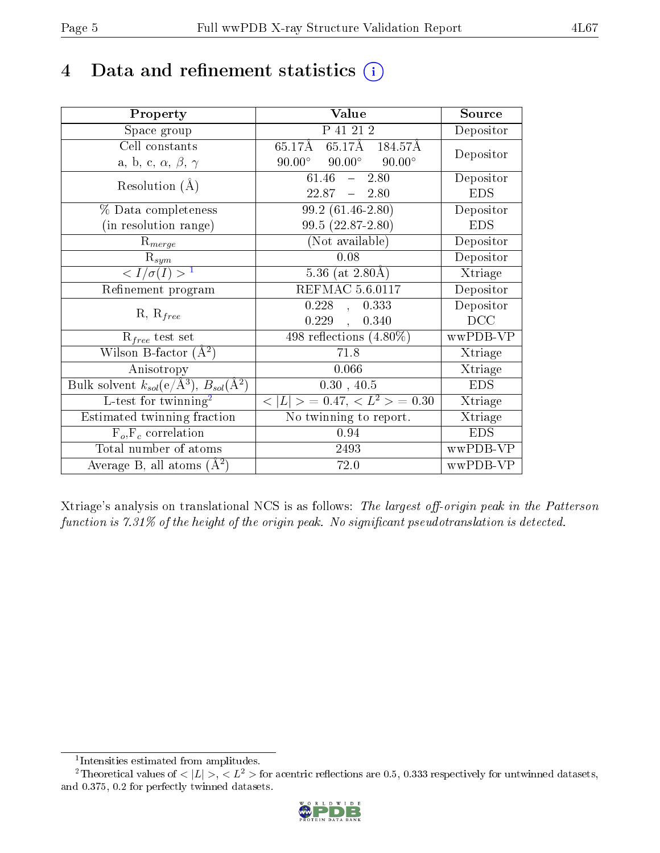# 4 Data and refinement statistics  $(i)$

| Property                                                         | Value                                            | Source     |
|------------------------------------------------------------------|--------------------------------------------------|------------|
| Space group                                                      | P 41 21 2                                        | Depositor  |
| Cell constants                                                   | 65.17Å 184.57Å<br>$65.17 \mathrm{\AA}$           | Depositor  |
| a, b, c, $\alpha$ , $\beta$ , $\gamma$                           | $90.00^{\circ}$ $90.00^{\circ}$<br>$90.00^\circ$ |            |
| Resolution $(A)$                                                 | $61.46 - 2.80$                                   | Depositor  |
|                                                                  | $22.87 - 2.80$                                   | <b>EDS</b> |
| % Data completeness                                              | $99.2(61.46-2.80)$                               | Depositor  |
| (in resolution range)                                            | $99.5(22.87-2.80)$                               | <b>EDS</b> |
| $R_{merge}$                                                      | (Not available)                                  | Depositor  |
| $\mathrm{R}_{sym}$                                               | 0.08                                             | Depositor  |
| $\langle I/\sigma(I) \rangle^{-1}$                               | 5.36 (at $2.80\text{\AA}$ )                      | Xtriage    |
| Refinement program                                               | <b>REFMAC 5.6.0117</b>                           | Depositor  |
|                                                                  | 0.228,<br>0.333                                  | Depositor  |
| $R, R_{free}$                                                    | $0.229$ ,<br>0.340                               | DCC        |
| $\mathcal{R}_{free}$ test set                                    | $\overline{498}$ reflections $(4.80\%)$          | wwPDB-VP   |
| Wilson B-factor $(A^2)$                                          | 71.8                                             | Xtriage    |
| Anisotropy                                                       | 0.066                                            | Xtriage    |
| Bulk solvent $k_{sol}(\text{e}/\text{A}^3), B_{sol}(\text{A}^2)$ | 0.30, 40.5                                       | <b>EDS</b> |
| L-test for twinning <sup>2</sup>                                 | $< L >$ = 0.47, $< L2 >$ = 0.30                  | Xtriage    |
| Estimated twinning fraction                                      | No twinning to report.                           | Xtriage    |
| $F_o, F_c$ correlation                                           | 0.94                                             | <b>EDS</b> |
| Total number of atoms                                            | 2493                                             | wwPDB-VP   |
| Average B, all atoms $(A^2)$                                     | 72.0                                             | wwPDB-VP   |

Xtriage's analysis on translational NCS is as follows: The largest off-origin peak in the Patterson function is  $7.31\%$  of the height of the origin peak. No significant pseudotranslation is detected.

<sup>&</sup>lt;sup>2</sup>Theoretical values of  $\langle |L| \rangle$ ,  $\langle L^2 \rangle$  for acentric reflections are 0.5, 0.333 respectively for untwinned datasets, and 0.375, 0.2 for perfectly twinned datasets.



<span id="page-4-1"></span><span id="page-4-0"></span><sup>1</sup> Intensities estimated from amplitudes.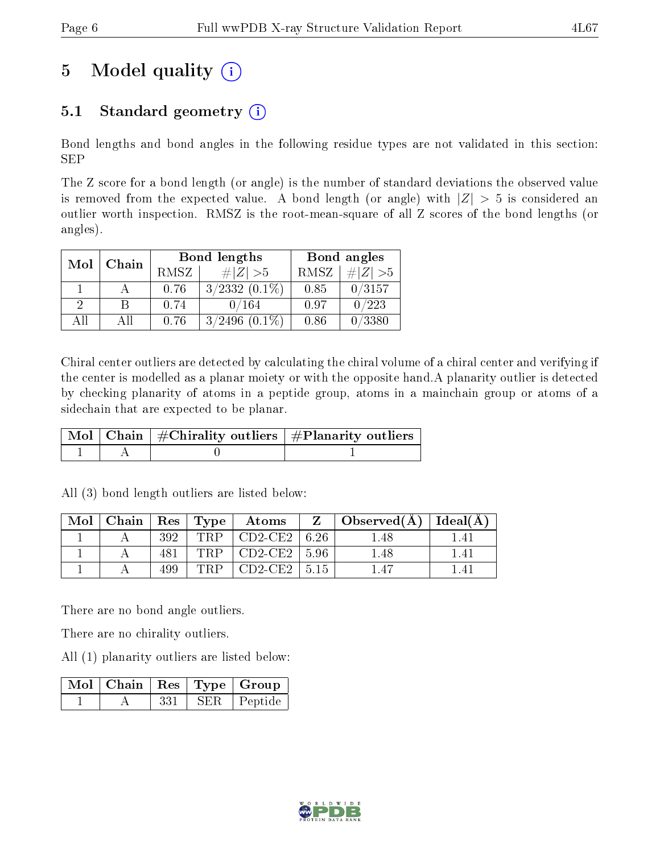# 5 Model quality  $(i)$

## 5.1 Standard geometry  $(i)$

Bond lengths and bond angles in the following residue types are not validated in this section: SEP

The Z score for a bond length (or angle) is the number of standard deviations the observed value is removed from the expected value. A bond length (or angle) with  $|Z| > 5$  is considered an outlier worth inspection. RMSZ is the root-mean-square of all Z scores of the bond lengths (or angles).

| Mol | Chain |             | <b>Bond lengths</b> | Bond angles |           |  |
|-----|-------|-------------|---------------------|-------------|-----------|--|
|     |       | <b>RMSZ</b> | $\# Z  > 5$         | RMSZ        | # $ Z >5$ |  |
|     |       | 0.76        | $3/2332(0.1\%)$     | 0.85        | 0/3157    |  |
| 2   | В     | 0.74        | 0/164               | 0.97        | 0/223     |  |
| AĦ  | Αll   | 0.76        | $3/2496$ $(0.1\%)$  | 0.86        | 0/3380    |  |

Chiral center outliers are detected by calculating the chiral volume of a chiral center and verifying if the center is modelled as a planar moiety or with the opposite hand.A planarity outlier is detected by checking planarity of atoms in a peptide group, atoms in a mainchain group or atoms of a sidechain that are expected to be planar.

|  | $\mid$ Mol $\mid$ Chain $\mid$ #Chirality outliers $\mid$ #Planarity outliers $\mid$ |
|--|--------------------------------------------------------------------------------------|
|  |                                                                                      |

| Mol | Chain   Res   Type $\frac{1}{2}$ |     |     | $\boldsymbol{\mathrm{Atoms}}$ |       | $\sim$ Observed(A) <sup>+</sup> | $ $ Ideal( $A$ ) |
|-----|----------------------------------|-----|-----|-------------------------------|-------|---------------------------------|------------------|
|     |                                  | 392 | TRP | $CD2-CE2$                     | 6.26  | .48                             |                  |
|     |                                  |     | TRP | $CD2-CE2$   5.96              |       | .48                             | l 41             |
|     |                                  | 499 | TRP | $CD2-CE2$                     | -5.15 |                                 |                  |

All (3) bond length outliers are listed below:

There are no bond angle outliers.

There are no chirality outliers.

All (1) planarity outliers are listed below:

|  |     | $\lceil\,\mathrm{Mol}\, \rceil$ Chain $\mid\mathrm{Res}\mid\mathrm{Type}\mid\mathrm{Group}\mid$ |
|--|-----|-------------------------------------------------------------------------------------------------|
|  | 331 | SER   Peptide                                                                                   |

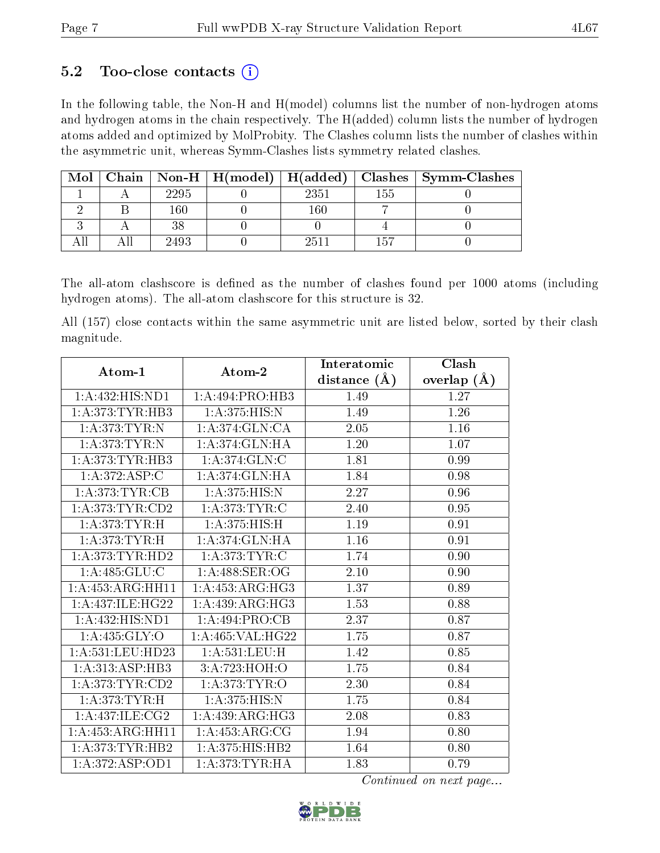### 5.2 Too-close contacts  $(i)$

In the following table, the Non-H and H(model) columns list the number of non-hydrogen atoms and hydrogen atoms in the chain respectively. The H(added) column lists the number of hydrogen atoms added and optimized by MolProbity. The Clashes column lists the number of clashes within the asymmetric unit, whereas Symm-Clashes lists symmetry related clashes.

| Mol |      | Chain   Non-H   H(model)   H(added) |      |     | Clashes   Symm-Clashes |
|-----|------|-------------------------------------|------|-----|------------------------|
|     | 2295 |                                     | 2351 | 155 |                        |
|     | 160  |                                     | L60  |     |                        |
|     | 38   |                                     |      |     |                        |
|     | 2493 |                                     | 2511 |     |                        |

The all-atom clashscore is defined as the number of clashes found per 1000 atoms (including hydrogen atoms). The all-atom clashscore for this structure is 32.

All (157) close contacts within the same asymmetric unit are listed below, sorted by their clash magnitude.

| Atom-1              | Atom-2             | Interatomic    | Clash             |
|---------------------|--------------------|----------------|-------------------|
|                     |                    | distance $(A)$ | overlap $(A)$     |
| 1:A:432:HIS:ND1     | 1:A:494:PRO:HB3    | 1.49           | 1.27              |
| 1:A:373:TYR:HB3     | 1: A:375: HIS:N    | 1.49           | $\overline{1.26}$ |
| 1:A:373:TYR:N       | 1:A:374:GLN:CA     | 2.05           | $1.16\,$          |
| 1:A:373:TYR:N       | 1: A:374: GLN: HA  | 1.20           | 1.07              |
| 1:A:373:TYR:HB3     | 1: A:374: GLN: C   | 1.81           | 0.99              |
| 1:A:372:ASP:C       | 1: A:374: GLN: HA  | 1.84           | 0.98              |
| 1:A:373:TYR:CB      | 1: A:375: HIS:N    | 2.27           | 0.96              |
| 1: A:373: TYR: CD2  | 1: A:373:TYR:C     | 2.40           | 0.95              |
| 1:A:373:TYR:H       | 1: A:375: HIS:H    | 1.19           | $0.91\,$          |
| 1: A:373: TYR:H     | 1: A:374: GLN: HA  | 1.16           | 0.91              |
| 1: A:373: TYR: HD2  | 1: A:373:TYR:C     | 1.74           | 0.90              |
| 1: A: 485: GLU: C   | 1:A:488:SER:OG     | 2.10           | 0.90              |
| 1:A:453:ARG:HH11    | 1: A:453:ARG:HG3   | 1.37           | 0.89              |
| 1: A:437: ILE: HG22 | 1: A:439: ARG:HG3  | 1.53           | 0.88              |
| 1:A:432:HIS:ND1     | 1:A:494:PRO:CB     | 2.37           | 0.87              |
| 1: A:435: GLY:O     | 1: A:465: VAL:HG22 | 1.75           | 0.87              |
| 1: A:531:LEU:HD23   | 1: A: 531: LEU:H   | 1.42           | 0.85              |
| 1: A: 313: ASP: HB3 | 3:A:723:HOH:O      | 1.75           | 0.84              |
| 1: A:373: TYR: CD2  | 1: A:373: TYR:O    | 2.30           | 0.84              |
| 1:A:373:TYR:H       | 1: A:375: HIS:N    | 1.75           | 0.84              |
| 1:A:437:ILE:CG2     | 1:A:439:ARG:HG3    | 2.08           | 0.83              |
| 1:A:453:ARG:HH11    | 1: A: 453: ARG: CG | 1.94           | 0.80              |
| 1:A:373:TYR:HB2     | 1:A:375:HIS:HB2    | 1.64           | 0.80              |
| 1:A:372:ASP:OD1     | 1: A:373: TYR: HA  | 1.83           | 0.79              |

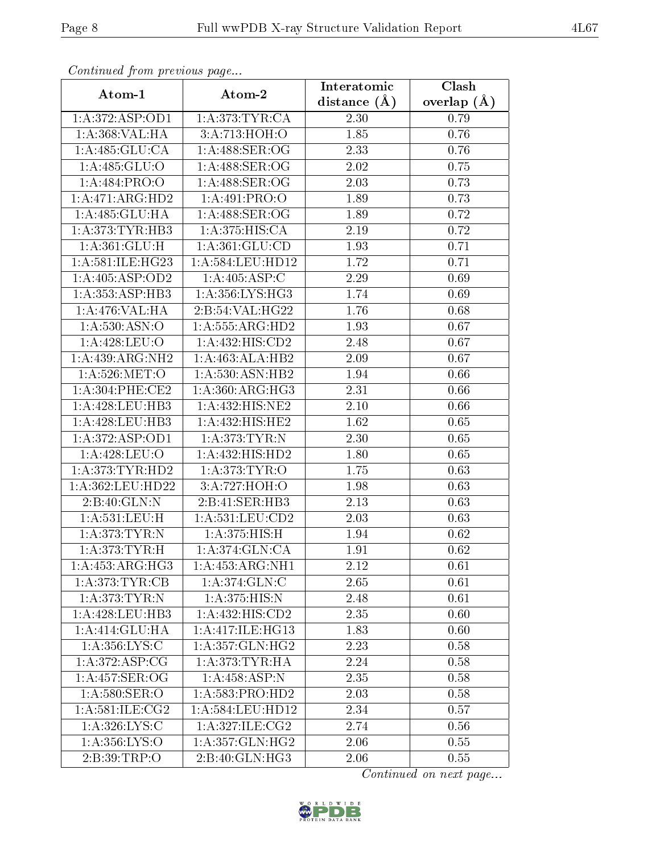| Communa from previous page |                                            | Interatomic      | Clash           |
|----------------------------|--------------------------------------------|------------------|-----------------|
| Atom-1                     | Atom-2                                     | distance $(\AA)$ | overlap $(\AA)$ |
| 1:A:372:ASP:OD1            | 1: A:373: TYR: CA                          | 2.30             | 0.79            |
| 1:A:368:VAL:HA             | 3:A:713:HOH:O                              | 1.85             | 0.76            |
| 1:A:485:GLU:CA             | 1: A:488: SER:OG                           | 2.33             | 0.76            |
| 1: A:485: GLU:O            | 1: A:488: SER:OG                           | 2.02             | 0.75            |
| 1:A.484:PRO:O              | 1: A:488: SER:OG                           | 2.03             | 0.73            |
| 1:A:471:ARG:HD2            | 1: A:491: PRO:O                            | 1.89             | 0.73            |
| 1:A:485:GLU:HA             | $1: A:488:\overline{\text{SER:}}\text{OG}$ | 1.89             | 0.72            |
| 1:A:373:TYR:HB3            | 1:A:375:HIS:CA                             | 2.19             | 0.72            |
| 1: A:361: GLU: H           | 1: A:361: GLU:CD                           | 1.93             | 0.71            |
| 1:A:581:ILE:HG23           | 1: A: 584: LEU: HD12                       | 1.72             | 0.71            |
| 1:A:405:ASP:OD2            | 1:A:405:ASP:C                              | 2.29             | 0.69            |
| 1: A: 353: ASP: HB3        | 1: A: 356: LYS: HG3                        | 1.74             | 0.69            |
| $1:A:476:VAL$ : HA         | 2:B:54:VAL:HG22                            | 1.76             | 0.68            |
| 1: A: 530: ASN: O          | 1:A:555:ARG:HD2                            | 1.93             | 0.67            |
| 1:A:428:LEU:O              | 1:A:432:HIS:CD2                            | 2.48             | 0.67            |
| 1:A:439:ARG:NH2            | 1:A:463:ALA:HB2                            | 2.09             | 0.67            |
| 1: A:526: MET:O            | 1: A:530: ASN: HB2                         | 1.94             | 0.66            |
| 1: A:304:PHE:CE2           | 1: A:360:ARG:HG3                           | 2.31             | 0.66            |
| 1:A:428:LEU:HB3            | 1:A:432:HIS:NE2                            | $2.10\,$         | 0.66            |
| 1: A:428: LEU:HB3          | 1: A: 432: HIS: HE2                        | 1.62             | 0.65            |
| 1:A:372:ASP:OD1            | 1: A:373: TYR:N                            | 2.30             | 0.65            |
| 1:A:428:LEU:O              | 1:A:432:HIS:HD2                            | 1.80             | 0.65            |
| 1: A:373: TYR: HD2         | 1: A:373: TYR:O                            | 1.75             | 0.63            |
| 1:A:362:LEU:HD22           | 3:A:727:HOH:O                              | 1.98             | 0.63            |
| 2: B:40: GLN:N             | 2:B:41:SER:HB3                             | 2.13             | 0.63            |
| 1: A: 531: LEU: H          | 1: A: 531: LEU: CD2                        | 2.03             | 0.63            |
| 1:A:373:TYR:N              | 1: A:375: HIS:H                            | 1.94             | 0.62            |
| 1:A:373:TYR:H              | 1:A:374:GLN:CA                             | 1.91             | 0.62            |
| 1: A: 453: ARG: HG3        | 1: A: 453: ARG: NH1                        | 2.12             | 0.61            |
| 1: A:373: TYR: CB          | 1:A:374:GLN:C                              | 2.65             | 0.61            |
| 1: A:373: TYR:N            | 1:A:375:HIS:N                              | 2.48             | 0.61            |
| 1:A:428:LEU:HB3            | 1: A: 432: HIS: CD2                        | 2.35             | 0.60            |
| 1: A:414: GLU: HA          | 1: A:417: ILE: HG13                        | 1.83             | 0.60            |
| 1:A:356:LYS:C              | 1: A: 357: GLN: HG2                        | 2.23             | 0.58            |
| 1: A:372: ASP:CG           | 1: A:373: TYR: HA                          | 2.24             | 0.58            |
| 1: A:457: SER:OG           | 1: A:458: ASP: N                           | 2.35             | 0.58            |
| 1:A:580:SER:O              | 1: A: 583: PRO: HD2                        | 2.03             | 0.58            |
| 1: A:581: ILE: CG2         | 1:A:584:LEU:HD12                           | 2.34             | 0.57            |
| 1: A:326: LYS:C            | 1: A:327: ILE: CG2                         | 2.74             | 0.56            |
| 1:A:356:LYS:O              | 1: A: 357: GLN: HG2                        | 2.06             | 0.55            |
| 2:B:39:TRP:O               | 2: B:40: GLN: HG3                          | 2.06             | 0.55            |

Continued from previous page.

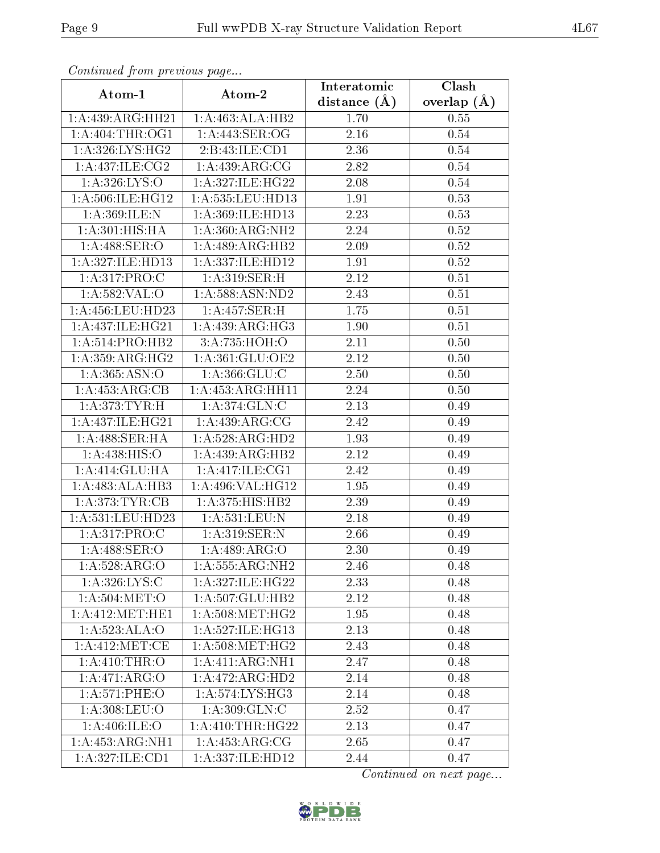| Commaca from previous page  |                      | Interatomic       | Clash         |  |
|-----------------------------|----------------------|-------------------|---------------|--|
| Atom-1                      | Atom-2               | distance $(A)$    | overlap $(A)$ |  |
| 1:A:439:ARG:HH21            | 1:A:463:ALA:HB2      | 1.70              | 0.55          |  |
| 1: A:404:THR:OG1            | 1: A:443: SER:OG     | $\overline{2.16}$ | 0.54          |  |
| 1: A:326: LYS: HG2          | 2:B:43:ILE:CD1       | 2.36              | 0.54          |  |
| 1: A:437: ILE: CG2          | 1:A:439:ARG:CG       | 2.82              | 0.54          |  |
| 1: A: 326: LYS: O           | 1:A:327:ILE:HG22     | 2.08              | 0.54          |  |
| 1: A:506: ILE: HG12         | 1:A:535:LEU:HD13     | 1.91              | 0.53          |  |
| 1: A:369: ILE:N             | 1:A:369:ILE:HD13     | 2.23              | 0.53          |  |
| $1:A:301:HIS:H\overline{A}$ | 1:A:360:ARG:NH2      | 2.24              | 0.52          |  |
| 1:A:488:SER:O               | 1:A:489:ARG:HB2      | 2.09              | 0.52          |  |
| 1:A:327:ILE:HD13            | 1: A: 337: ILE: HD12 | 1.91              | 0.52          |  |
| $1:A:317:\overline{PRO:C}$  | 1:A:319:SER:H        | 2.12              | 0.51          |  |
| 1: A: 582: VAL: O           | 1:A:588:ASN:ND2      | 2.43              | 0.51          |  |
| 1:A:456:LEU:HD23            | 1:A:457:SER:H        | 1.75              | 0.51          |  |
| 1: A: 437: ILE: HG21        | 1:A:439:ARG:HG3      | 1.90              | 0.51          |  |
| 1: A:514: PRO:HB2           | 3:A:735:HOH:O        | 2.11              | 0.50          |  |
| 1: A:359: ARG: HG2          | 1:A:361:GLU:OE2      | 2.12              | 0.50          |  |
| 1: A: 365: ASN:O            | 1:A:366:GLU:C        | $\overline{2}.50$ | 0.50          |  |
| 1: A:453:ARG:CB             | 1:A:453:ARG:HH11     | 2.24              | 0.50          |  |
| 1: A:373: TYR:H             | 1:A:374:GLN:C        | 2.13              | 0.49          |  |
| 1:A:437:ILE:HG21            | 1:A:439:ARG:CG       | 2.42              | 0.49          |  |
| 1:A:488:SER:HA              | 1:A:528:ARG:HD2      | 1.93              | 0.49          |  |
| 1: A:438: HIS:O             | 1:A:439:ARG:HB2      | 2.12              | 0.49          |  |
| 1:A:414:GLU:HA              | 1: A:417: ILE: CG1   | 2.42              | 0.49          |  |
| 1:A:483:ALA:HB3             | 1:A:496:VAL:HG12     | 1.95              | 0.49          |  |
| 1: A:373: TYR: CB           | 1:A:375:HIS:HB2      | 2.39              | 0.49          |  |
| 1:A:531:LEU:HD23            | 1:A:531:LEU:N        | 2.18              | 0.49          |  |
| 1:A:317:PRO:C               | 1: A:319: SER: N     | 2.66              | 0.49          |  |
| 1: A:488: SER:O             | 1:A:489:ARG:O        | 2.30              | 0.49          |  |
| 1:A:528:ARG:O               | 1:A:555:ARG:NH2      | 2.46              | 0.48          |  |
| 1: A:326: LYS:C             | 1:A:327:ILE:HG22     | 2.33              | 0.48          |  |
| 1: A:504: MET:O             | 1:A:507:GLU:HB2      | 2.12              | 0.48          |  |
| 1:A:412:MET:HE1             | 1: A:508:MET:HG2     | 1.95              | 0.48          |  |
| 1:A:523:ALA:O               | 1: A:527: ILE: HG13  | 2.13              | 0.48          |  |
| 1: A: 412: MET: CE          | 1: A:508:MET:HG2     | 2.43              | 0.48          |  |
| 1: A:410:THR:O              | 1:A:411:ARG:NH1      | 2.47              | 0.48          |  |
| $1:A:\overline{471:ARG:O}$  | 1:A:472:ARG:HD2      | 2.14              | 0.48          |  |
| 1: A:571:PHE:O              | 1: A:574:LYS:HG3     | 2.14              | 0.48          |  |
| 1:A:308:LEU:O               | 1: A:309: GLN:C      | 2.52              | 0.47          |  |
| 1: A:406: ILE:O             | 1: A:410:THR:HG22    | 2.13              | 0.47          |  |
| 1:A:453:ARG:NH1             | 1:A:453:ARG:CG       | 2.65              | 0.47          |  |
| 1:A:327:ILE:CD1             | 1:A:337:ILE:HD12     | 2.44              | 0.47          |  |

Continued from previous page.

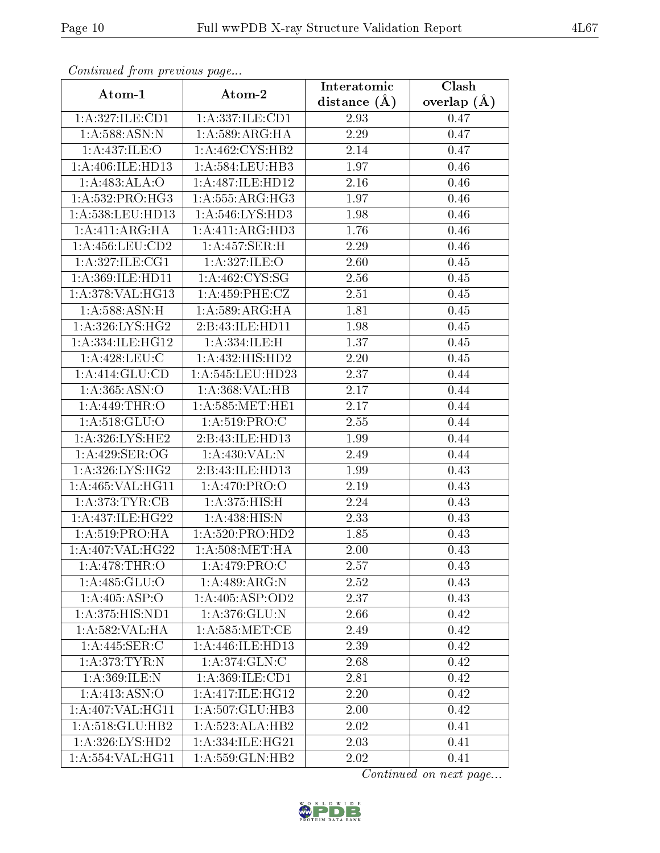| Commaca jibin previous page |                              | Interatomic    | $\overline{\text{Clash}}$ |
|-----------------------------|------------------------------|----------------|---------------------------|
| Atom-1                      | Atom-2                       | distance $(A)$ | overlap $(A)$             |
| 1:A:327:ILE:CD1             | 1:A:337:ILE:CD1              | 2.93           | 0.47                      |
| 1: A:588:ASN:N              | 1:A:589:ARG:HA               | 2.29           | 0.47                      |
| 1: A:437: ILE: O            | 1: A:462: CYS:HB2            | 2.14           | 0.47                      |
| 1:A:406:ILE:HD13            | 1:A:584:LEU:HB3              | 1.97           | 0.46                      |
| 1:A:483:ALA:O               | 1: A:487: ILE: HD12          | 2.16           | 0.46                      |
| 1: A: 532: PRO: HG3         | 1: A: 555: ARG: HG3          | 1.97           | 0.46                      |
| 1:A:538:LEU:HD13            | 1:A:546:LYS:HD3              | 1.98           | 0.46                      |
| $1:A:411:ARG:H\overline{A}$ | 1:A:411:ARG:HD3              | 1.76           | 0.46                      |
| 1: A: 456: LEU: CD2         | 1:A:457:SER:H                | 2.29           | 0.46                      |
| 1: A:327: ILE: CG1          | 1: A:327: ILE: O             | 2.60           | 0.45                      |
| 1:A:369:ILE:HD11            | 1: A:462: CYS:SG             | 2.56           | 0.45                      |
| 1:A:378:VAL:HG13            | 1:A:459:PHE:CZ               | 2.51           | 0.45                      |
| 1:A:588:ASN:H               | 1: A:589: ARG: HA            | 1.81           | 0.45                      |
| 1: A:326: LYS: HG2          | 2:B:43:ILE:HD11              | 1.98           | 0.45                      |
| 1:A:334:ILE:HG12            | 1: A:334: ILE:H              | 1.37           | 0.45                      |
| 1: A:428: LEU: C            | $1:A:432:\overline{HIS:HD2}$ | 2.20           | 0.45                      |
| 1:A:414:GLU:CD              | 1:A:545:LEU:HD23             | 2.37           | 0.44                      |
| 1:A:365:ASN:O               | 1:A:368:VAL:HB               | 2.17           | 0.44                      |
| $1: A:449:\overline{THR:O}$ | 1: A:585: MET:HE1            | 2.17           | 0.44                      |
| $1:$ A:518:GLU:O            | 1: A:519: PRO:C              | 2.55           | 0.44                      |
| 1: A:326: LYS: HE2          | 2:B:43:ILE:HD13              | 1.99           | 0.44                      |
| 1:A:429:SER:OG              | 1:A:430:VAL:N                | 2.49           | 0.44                      |
| 1:A:326:LYS:HG2             | 2:B:43:ILE:HD13              | 1.99           | 0.43                      |
| 1:A:465:VAL:HG11            | 1: A:470: PRO:O              | 2.19           | 0.43                      |
| 1: A:373: TYR: CB           | 1:A:375:HIS:H                | 2.24           | 0.43                      |
| 1:A:437:ILE:HG22            | 1: A:438:HIS:N               | 2.33           | 0.43                      |
| 1: A:519: PRO:HA            | 1: A:520: PRO:HD2            | 1.85           | 0.43                      |
| 1:A:407:VAL:HG22            | 1: A:508: MET:HA             | 2.00           | 0.43                      |
| 1: A:478:THR:O              | 1:A:479:PRO:C                | 2.57           | 0.43                      |
| 1:A:485:GLU:O               | 1:A:489:ARG:N                | 2.52           | 0.43                      |
| 1: A:405: ASP:O             | 1:A:405:ASP:OD2              | 2.37           | 0.43                      |
| 1: A:375: HIS: ND1          | 1:A:376:GLU:N                | 2.66           | 0.42                      |
| 1: A: 582: VAL: HA          | 1: A:585: MET:CE             | 2.49           | 0.42                      |
| 1:A:445:SER:C               | 1:A:446:ILE:HD13             | 2.39           | 0.42                      |
| $1:$ A $:$ 373: TYR:N       | 1: A:374: GLN: C             | 2.68           | 0.42                      |
| 1:A:369:ILE:N               | 1: A:369: ILE: CD1           | 2.81           | 0.42                      |
| 1:A:413:ASN:O               | 1:A:417:ILE:HG12             | 2.20           | 0.42                      |
| 1:A:407:VAL:HG11            | 1:A:507:GLU:HB3              | 2.00           | 0.42                      |
| 1:A:518:GLU:HB2             | 1:A:523:ALA:HB2              | 2.02           | 0.41                      |
| 1:A:326:LYS:HD2             | 1:A:334:ILE:HG21             | 2.03           | 0.41                      |
| 1:A:554:VAL:HG11            | 1:A:559:GLN:HB2              | 2.02           | 0.41                      |

Continued from previous page.

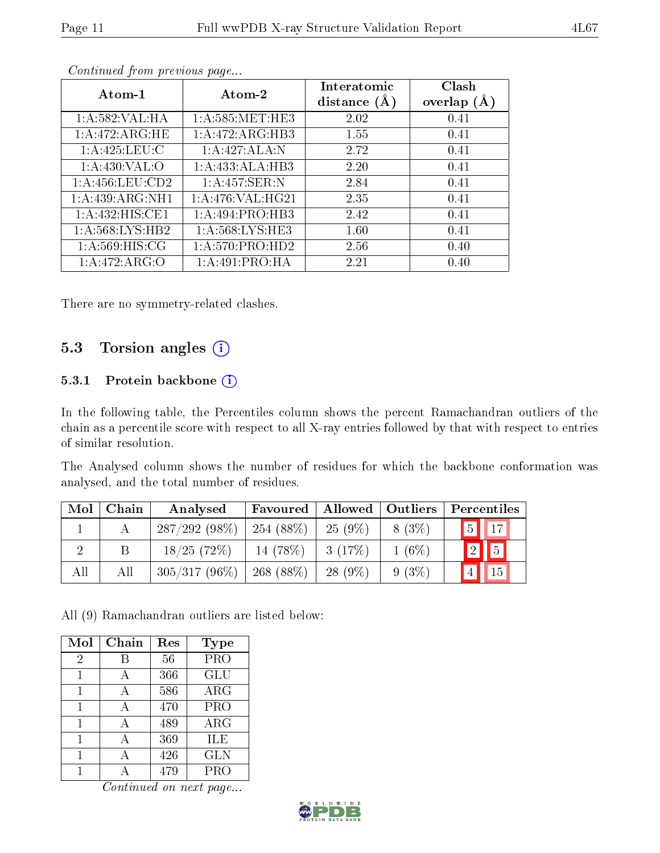| Atom-1              | Atom-2             | Interatomic<br>distance $(A)$ | Clash<br>overlap $(A)$ |
|---------------------|--------------------|-------------------------------|------------------------|
| 1: A:582:VAL:HA     | 1: A:585: MET:HE3  | 2.02                          | 0.41                   |
| 1: A:472:ARG:HE     | 1:A:472:ARG:HB3    | 1.55                          | 0.41                   |
| 1: A:425: LEU: C    | 1:A:427:ALA:N      | 2.72                          | 0.41                   |
| 1: A:430: VAL:O     | 1:A:433:ALA:HB3    | 2.20                          | 0.41                   |
| 1: A: 456: LEU: CD2 | 1:A:457:SER:N      | 2.84                          | 0.41                   |
| 1:A:439:ARG:NH1     | 1: A:476: VAL:HG21 | 2.35                          | 0.41                   |
| 1:A:432:HIS:CE1     | 1:A:494:PRO:HB3    | 2.42                          | 0.41                   |
| 1: A:568: LYS: HB2  | 1: A:568:LYS:HE3   | 1.60                          | 0.41                   |
| 1: A:569:HIS:CG     | 1: A:570: PRO:HD2  | 2.56                          | 0.40                   |
| 1:A:472:ARG:O       | 1:A:491:PRO:HA     | 2.21                          | 0.40                   |

Continued from previous page...

There are no symmetry-related clashes.

### 5.3 Torsion angles (i)

#### 5.3.1 Protein backbone (i)

In the following table, the Percentiles column shows the percent Ramachandran outliers of the chain as a percentile score with respect to all X-ray entries followed by that with respect to entries of similar resolution.

The Analysed column shows the number of residues for which the backbone conformation was analysed, and the total number of residues.

| Mol | Chain | Analysed        | Favoured    | <b>Allowed</b> | Outliers | Percentiles       |
|-----|-------|-----------------|-------------|----------------|----------|-------------------|
|     |       | 287/292(98%)    | $254(88\%)$ | $25(9\%)$      | 8 (3\%)  | $\sqrt{17}$<br> 5 |
|     | B     | 18/25(72%)      | 14 (78\%)   | 3(17%)         | $1(6\%)$ | 5<br>$\boxed{2}$  |
| All | All   | $305/317(96\%)$ | $268(88\%)$ | $28(9\%)$      | $9(3\%)$ | 15                |

All (9) Ramachandran outliers are listed below:

| Mol | Chain | Res | Type       |
|-----|-------|-----|------------|
| 2   | В     | 56  | <b>PRO</b> |
| 1   | А     | 366 | <b>GLU</b> |
| 1   | A     | 586 | ARG        |
| 1   | A     | 470 | <b>PRO</b> |
| 1   | А     | 489 | ARG        |
| 1   | А     | 369 | ILE        |
| 1   | А     | 426 | <b>GLN</b> |
|     |       | 479 | PRO        |

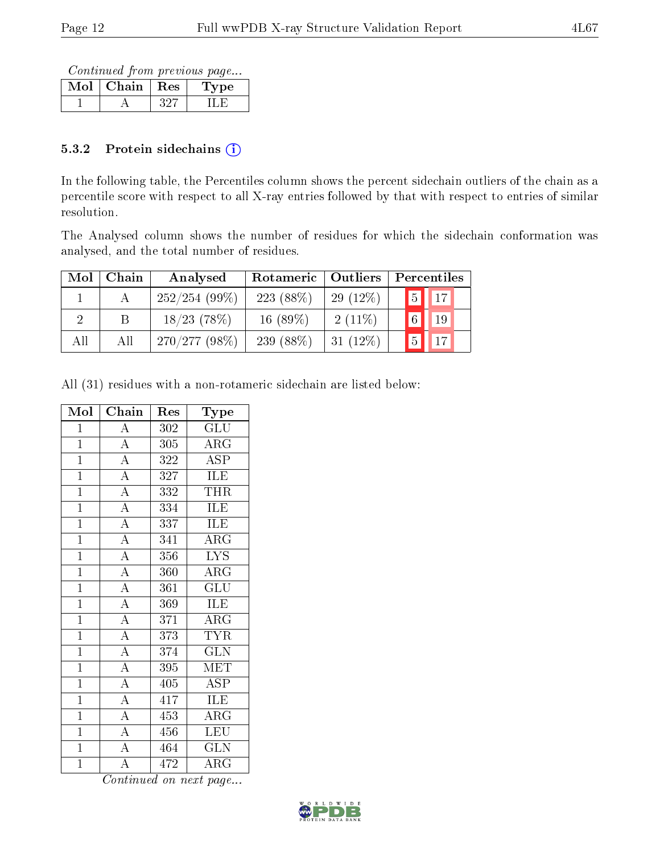Continued from previous page...

| Mol | Chain | $\perp$ Res | pе |
|-----|-------|-------------|----|
|     |       |             |    |

#### 5.3.2 Protein sidechains  $(i)$

In the following table, the Percentiles column shows the percent sidechain outliers of the chain as a percentile score with respect to all X-ray entries followed by that with respect to entries of similar resolution.

The Analysed column shows the number of residues for which the sidechain conformation was analysed, and the total number of residues.

| Mol | ${\bf Chain}$ | Analysed        | Rotameric   | Outliers   | Percentiles            |  |
|-----|---------------|-----------------|-------------|------------|------------------------|--|
|     |               | 252/254(99%)    | $223(88\%)$ | $29(12\%)$ | $\sqrt{5}$ $\sqrt{17}$ |  |
| റ   |               | $18/23$ (78\%)  | $16(89\%)$  | $2(11\%)$  | $\boxed{6}$            |  |
| All | All           | $270/277(98\%)$ | 239 (88\%)  | $31(12\%)$ | $5\vert$               |  |

All (31) residues with a non-rotameric sidechain are listed below:

| Mol            | Chain                               | Res              | Type                    |
|----------------|-------------------------------------|------------------|-------------------------|
| $\mathbf{1}$   | $\overline{A}$                      | 302              | $\widetilde{{\rm GLU}}$ |
| $\overline{1}$ | $\overline{A}$                      | 305              | $\rm{ARG}$              |
| $\overline{1}$ | $\frac{\overline{A}}{\overline{A}}$ | 322              | $\overline{\rm ASP}$    |
| $\mathbf{1}$   |                                     | 327              | <b>ILE</b>              |
| $\mathbf{1}$   | $\overline{A}$                      | 332              | THR                     |
| $\overline{1}$ | $\overline{A}$                      | 334              | <b>ILE</b>              |
| $\overline{1}$ | $\overline{A}$                      | 337              | ILE                     |
| $\overline{1}$ | $\frac{\overline{A}}{\overline{A}}$ | 341              | $\overline{\rm{ARG}}$   |
| $\mathbf{1}$   |                                     | 356              | <b>LYS</b>              |
| $\overline{1}$ | $\overline{A}$                      | 360              | $\overline{\rm ARG}$    |
| $\overline{1}$ | $\overline{A}$                      | 361              | $\overline{{\rm GLU}}$  |
| $\overline{1}$ | $\overline{A}$                      | 369              | ILE                     |
| $\overline{1}$ | $\frac{\overline{A}}{\overline{A}}$ | 371              | $\overline{\rm ARG}$    |
| $\overline{1}$ |                                     | 373              | <b>TYR</b>              |
| $\overline{1}$ |                                     | $\overline{3}74$ | $\overline{\text{GLN}}$ |
| $\overline{1}$ | $\frac{\overline{A}}{\overline{A}}$ | 395              | MET                     |
| $\mathbf{1}$   |                                     | 405              | <b>ASP</b>              |
| $\mathbf{1}$   | $\frac{\overline{A}}{A}$            | $\overline{41}7$ | ILE                     |
| $\overline{1}$ |                                     | 453              | $\overline{\rm{ARG}}$   |
| $\overline{1}$ | $\overline{A}$                      | $\overline{456}$ | $\overline{\text{LEU}}$ |
| $\overline{1}$ | $\frac{1}{\text{A}}$                | 464              | <b>GLN</b>              |
| $\mathbf{1}$   | $\overline{\rm A}$                  | $\overline{4}72$ | $\rm{ARG}$              |

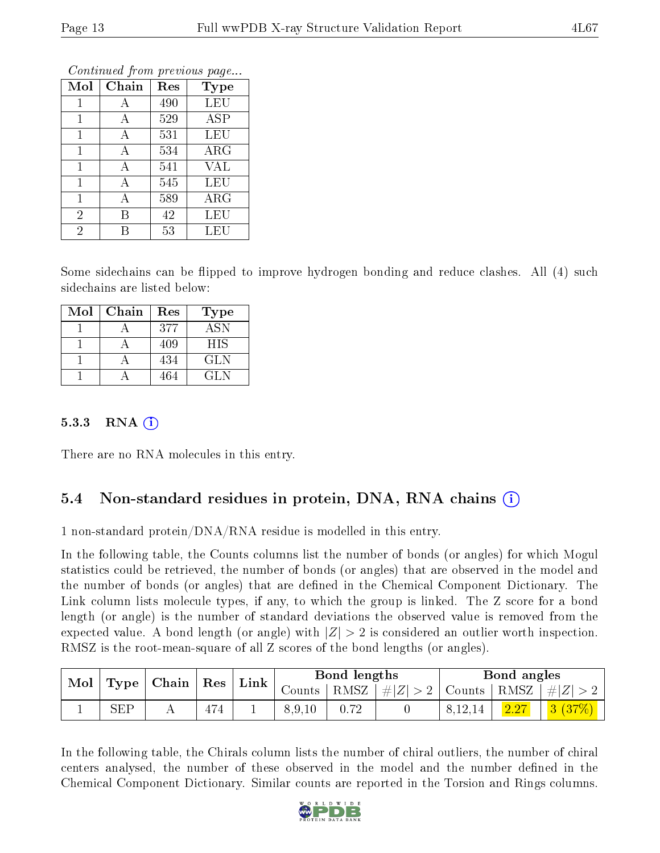| Mol            | Chain | Res | Type       |
|----------------|-------|-----|------------|
| $\mathbf{1}$   | А     | 490 | <b>LEU</b> |
| 1              | А     | 529 | <b>ASP</b> |
| 1              | А     | 531 | LEU        |
| 1              | A     | 534 | ARG        |
| 1              | А     | 541 | <b>VAL</b> |
| 1              | А     | 545 | LEU        |
| 1              | А     | 589 | $\rm{ARG}$ |
| $\overline{2}$ | В     | 42  | LEU        |
| $\overline{2}$ | R     | 53  | LEU        |

Continued from previous page...

Some sidechains can be flipped to improve hydrogen bonding and reduce clashes. All (4) such sidechains are listed below:

| Mol | Chain | Res | Type       |
|-----|-------|-----|------------|
|     |       | 377 | ASN        |
|     |       | 409 | <b>HIS</b> |
|     |       | 434 | <b>GLN</b> |
|     |       | 464 | GL N       |

#### 5.3.3 RNA  $(i)$

There are no RNA molecules in this entry.

#### 5.4 Non-standard residues in protein, DNA, RNA chains  $(i)$

1 non-standard protein/DNA/RNA residue is modelled in this entry.

In the following table, the Counts columns list the number of bonds (or angles) for which Mogul statistics could be retrieved, the number of bonds (or angles) that are observed in the model and the number of bonds (or angles) that are defined in the Chemical Component Dictionary. The Link column lists molecule types, if any, to which the group is linked. The Z score for a bond length (or angle) is the number of standard deviations the observed value is removed from the expected value. A bond length (or angle) with  $|Z| > 2$  is considered an outlier worth inspection. RMSZ is the root-mean-square of all Z scores of the bond lengths (or angles).

| Mol |             | $\vert$ Type $\vert$ Chain $\vert$ Res $\vert$ |     |  |        |      |             |                         |      |           | $\perp$ Link $\perp$ |  | Bond lengths |  |  | Bond angles |  |
|-----|-------------|------------------------------------------------|-----|--|--------|------|-------------|-------------------------|------|-----------|----------------------|--|--------------|--|--|-------------|--|
|     |             |                                                |     |  | Counts | RMSZ | # $ Z  > 2$ | Counts   RMSZ   $\# Z $ |      |           |                      |  |              |  |  |             |  |
|     | ${\rm SEP}$ |                                                | 474 |  | 8.9.10 |      |             | 8,12,14                 | 2.27 | $3(37\%)$ |                      |  |              |  |  |             |  |

In the following table, the Chirals column lists the number of chiral outliers, the number of chiral centers analysed, the number of these observed in the model and the number defined in the Chemical Component Dictionary. Similar counts are reported in the Torsion and Rings columns.

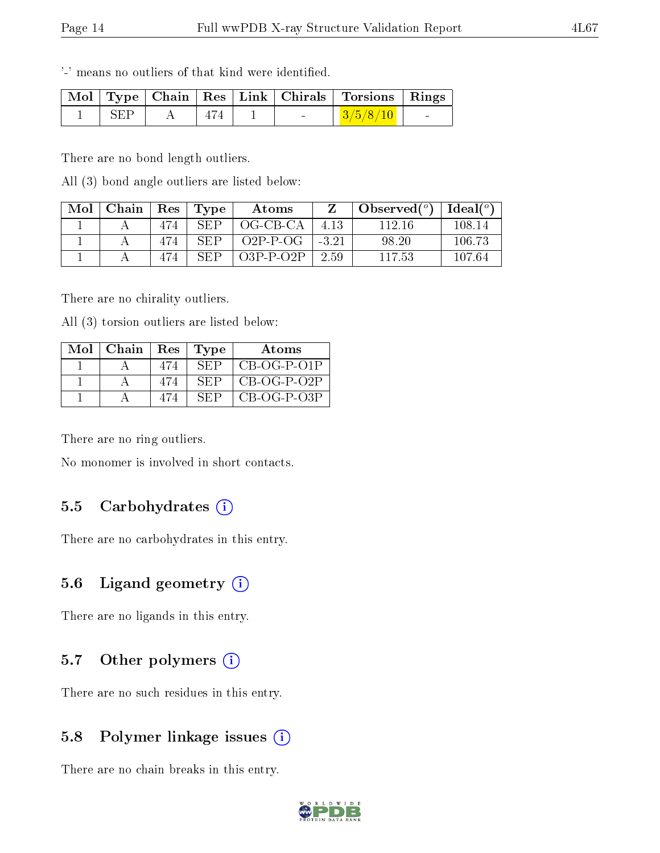'-' means no outliers of that kind were identified.

|     |     |                                   | Mol   Type   Chain   Res   Link   Chirals   Torsions   Rings |  |
|-----|-----|-----------------------------------|--------------------------------------------------------------|--|
| SEP | 474 | <b>Contract Contract Contract</b> | $\mid 3/5/8/10 \mid$                                         |  |

There are no bond length outliers.

All (3) bond angle outliers are listed below:

| Mol | Chain | Res | Type       | Atoms       |         | Observed $(°)$ | Ideal $\binom{o}{c}$ |
|-----|-------|-----|------------|-------------|---------|----------------|----------------------|
|     |       | 474 | SEP        | OG-CB-CA    | 4.13    | 112-16         | 108.14               |
|     |       | 474 | SEP        | $O2P-P-OG$  | $-3.21$ | 98.20          | 106.73               |
|     |       | 474 | <b>SEP</b> | $O3P-P-O2P$ | 2.59    | 117.53         | 107.64               |

There are no chirality outliers.

All (3) torsion outliers are listed below:

| Mol | $\vert$ Chain $\vert$ Res $\vert$ |     | Type | Atoms         |
|-----|-----------------------------------|-----|------|---------------|
|     |                                   | 474 | SEP  | $CB-OG-P-O1P$ |
|     |                                   | 474 | SEP  | CB-OG-P-O2P   |
|     |                                   |     | SEP  | $CB-OG-P-O3P$ |

There are no ring outliers.

No monomer is involved in short contacts.

#### 5.5 Carbohydrates  $(i)$

There are no carbohydrates in this entry.

#### 5.6 Ligand geometry  $(i)$

There are no ligands in this entry.

### 5.7 [O](https://www.wwpdb.org/validation/2017/XrayValidationReportHelp#nonstandard_residues_and_ligands)ther polymers  $(i)$

There are no such residues in this entry.

#### 5.8 Polymer linkage issues  $(i)$

There are no chain breaks in this entry.

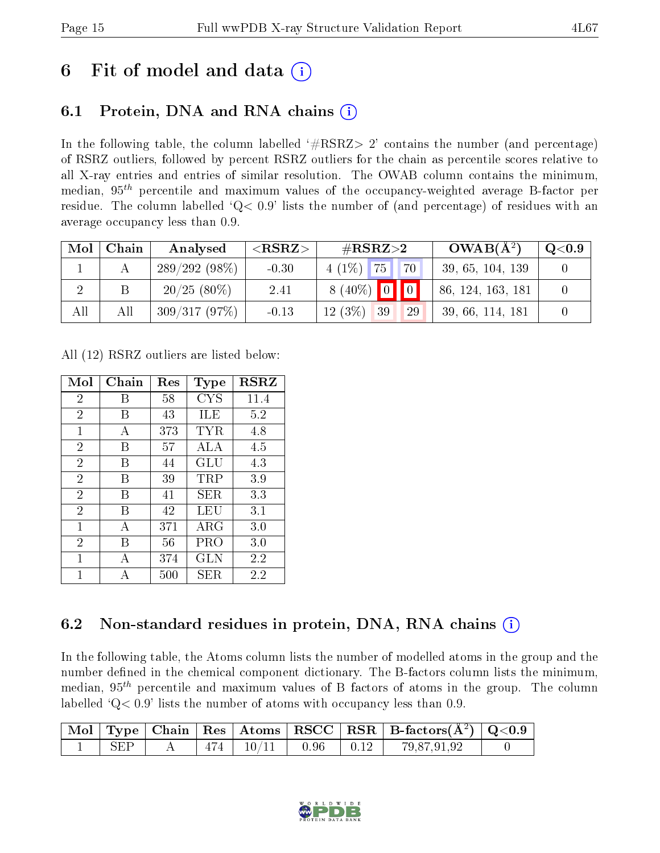# 6 Fit of model and data  $\left( \cdot \right)$

### 6.1 Protein, DNA and RNA chains (i)

In the following table, the column labelled  $#RSRZ>2'$  contains the number (and percentage) of RSRZ outliers, followed by percent RSRZ outliers for the chain as percentile scores relative to all X-ray entries and entries of similar resolution. The OWAB column contains the minimum, median,  $95<sup>th</sup>$  percentile and maximum values of the occupancy-weighted average B-factor per residue. The column labelled ' $Q< 0.9$ ' lists the number of (and percentage) of residues with an average occupancy less than 0.9.

| Mol | Chain | Analysed        | ${ <\hspace{-1.5pt}{\mathrm{RSRZ}} \hspace{-1.5pt}>}$ | $\#\text{RSRZ}\text{>2}$ | $OWAB(A^2)$       | $\rm{Q}\textcolor{black}{<}0.9$ |
|-----|-------|-----------------|-------------------------------------------------------|--------------------------|-------------------|---------------------------------|
|     |       | $289/292(98\%)$ | $-0.30$                                               | $4(1\%)$ 75<br>70        | 39, 65, 104, 139  |                                 |
|     |       | $20/25(80\%)$   | 2.41                                                  | $8(40\%)$ 0 0            | 86, 124, 163, 181 |                                 |
| All | All   | 309/317(97%)    | $-0.13$                                               | $12(3\%$<br>29<br>39     | 39, 66, 114, 181  |                                 |

All (12) RSRZ outliers are listed below:

| Mol            | Chain | $\operatorname{Res}% \left( \mathcal{N}\right) \equiv\operatorname{Res}(\mathcal{N}_{0},\mathcal{N}_{0})$ | Type        | <b>RSRZ</b> |
|----------------|-------|-----------------------------------------------------------------------------------------------------------|-------------|-------------|
| $\overline{2}$ | В     | 58                                                                                                        | <b>CYS</b>  | 11.4        |
| $\overline{2}$ | В     | 43                                                                                                        | ILE         | 5.2         |
| 1              | А     | 373                                                                                                       | TYR         | 4.8         |
| $\overline{2}$ | В     | 57                                                                                                        | ALA         | 4.5         |
| $\overline{2}$ | В     | 44                                                                                                        | GLU         | 4.3         |
| $\overline{2}$ | В     | 39                                                                                                        | $\rm TRP$   | 3.9         |
| $\overline{2}$ | В     | 41                                                                                                        | SER         | 3.3         |
| $\overline{2}$ | В     | 42                                                                                                        | LEU         | 3.1         |
| $\mathbf{1}$   | А     | 371                                                                                                       | ${\rm ARG}$ | 3.0         |
| $\overline{2}$ | В     | 56                                                                                                        | PRO         | 3.0         |
| 1              | А     | 374                                                                                                       | GLN         | 2.2         |
| 1              |       | 500                                                                                                       | SER         | 2.2         |

## 6.2 Non-standard residues in protein, DNA, RNA chains  $(i)$

In the following table, the Atoms column lists the number of modelled atoms in the group and the number defined in the chemical component dictionary. The B-factors column lists the minimum, median,  $95<sup>th</sup>$  percentile and maximum values of B factors of atoms in the group. The column labelled  $Q< 0.9$ ' lists the number of atoms with occupancy less than 0.9.

|     |     |               |                           | $\mid$ Mol $\mid$ Type $\mid$ Chain $\mid$ Res $\mid$ Atoms $\mid$ RSCC $\mid$ RSR $\mid$ B-factors( $\overline{A^2}$ ) $\mid$ Q<0.9 |  |
|-----|-----|---------------|---------------------------|--------------------------------------------------------------------------------------------------------------------------------------|--|
| SEP | 474 | $+10/11^{-1}$ | $\vert$ 0.96 $\vert$ 0.12 | 79,87,91,92                                                                                                                          |  |